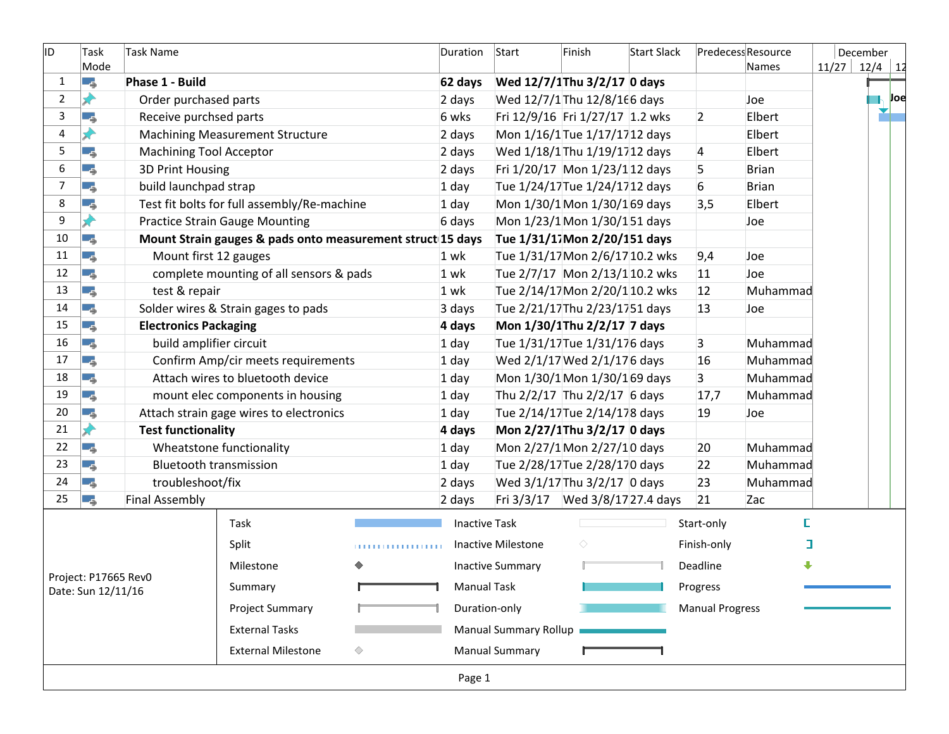| ID.<br>Task Name<br>Task |                      |                                |                                                            |       | Duration             | Start                          | Finish                          | Start Slack |                        | Predecess Resource |  | December        |     |
|--------------------------|----------------------|--------------------------------|------------------------------------------------------------|-------|----------------------|--------------------------------|---------------------------------|-------------|------------------------|--------------------|--|-----------------|-----|
|                          | Mode                 |                                |                                                            |       |                      |                                |                                 |             |                        | Names              |  | $11/27$ 12/4 12 |     |
| $\mathbf{1}$             | I.                   | Phase 1 - Build                |                                                            |       | 62 days<br>2 days    |                                | Wed 12/7/1Thu 3/2/17 0 days     |             |                        |                    |  |                 |     |
| $\overline{2}$           | D                    | Order purchased parts          |                                                            |       |                      |                                | Wed 12/7/1 Thu 12/8/166 days    |             |                        | Joe                |  |                 | Joe |
| 3                        | ۳,                   | Receive purchsed parts         |                                                            |       | 6 wks                |                                | Fri 12/9/16 Fri 1/27/17 1.2 wks |             | $\overline{2}$         | Elbert             |  |                 |     |
| 4                        | ♦                    |                                | <b>Machining Measurement Structure</b>                     |       | 2 days               |                                | Mon 1/16/1 Tue 1/17/1712 days   |             |                        | Elbert             |  |                 |     |
| 5                        | ۳.,                  | <b>Machining Tool Acceptor</b> |                                                            |       | 2 days               |                                | Wed 1/18/1 Thu 1/19/1712 days   |             | 4                      | Elbert             |  |                 |     |
| 6                        | ۳,                   | 3D Print Housing               |                                                            |       | 2 days               |                                | Fri 1/20/17 Mon 1/23/112 days   |             | 5                      | <b>Brian</b>       |  |                 |     |
| $\overline{7}$           | -4                   | build launchpad strap          |                                                            |       | 1 day                |                                | Tue 1/24/17Tue 1/24/1712 days   |             | 6                      | <b>Brian</b>       |  |                 |     |
| 8                        | -4                   |                                | Test fit bolts for full assembly/Re-machine                |       | 1 day                |                                | Mon 1/30/1 Mon 1/30/169 days    |             | 3,5                    | Elbert             |  |                 |     |
| 9                        |                      |                                | <b>Practice Strain Gauge Mounting</b>                      |       | 6 days               |                                | Mon 1/23/1 Mon 1/30/151 days    |             |                        | Joe                |  |                 |     |
| $10\,$                   | ۳ş                   |                                | Mount Strain gauges & pads onto measurement struct 15 days |       |                      |                                | Tue 1/31/17 Mon 2/20/151 days   |             |                        |                    |  |                 |     |
| 11                       | L.                   | Mount first 12 gauges          |                                                            |       | $1$ wk               |                                | Tue 1/31/17 Mon 2/6/17 10.2 wks |             | 9,4                    | Joe                |  |                 |     |
| 12                       | ۳,                   |                                | complete mounting of all sensors & pads                    |       | $1$ wk               |                                | Tue 2/7/17 Mon 2/13/110.2 wks   |             | 11                     | Joe                |  |                 |     |
| 13                       | ۳ş                   | test & repair                  |                                                            |       | 1 wk                 |                                | Tue 2/14/17 Mon 2/20/110.2 wks  |             | 12                     | Muhammad           |  |                 |     |
| 14                       | ج -ا                 |                                | Solder wires & Strain gages to pads                        |       | 3 days               |                                | Tue 2/21/17Thu 2/23/1751 days   |             | 13                     | Joe                |  |                 |     |
| 15                       | L.                   | <b>Electronics Packaging</b>   |                                                            |       | 4 days               |                                | Mon 1/30/1Thu 2/2/17 7 days     |             |                        |                    |  |                 |     |
| 16                       | ہے ۔ا                | build amplifier circuit        |                                                            | 1 day |                      | Tue 1/31/17 Tue 1/31/17 6 days |                                 | 3           | Muhammad               |                    |  |                 |     |
| 17                       | ۳ş                   |                                | Confirm Amp/cir meets requirements                         | 1 day |                      | Wed 2/1/17 Wed 2/1/17 6 days   |                                 | 16          | Muhammad               |                    |  |                 |     |
| 18                       | L.                   |                                | Attach wires to bluetooth device                           |       | 1 day                |                                | Mon 1/30/1 Mon 1/30/169 days    |             | 3                      | Muhammad           |  |                 |     |
| 19                       | ۳,                   |                                | mount elec components in housing                           |       | 1 day                |                                | Thu 2/2/17 Thu 2/2/17 6 days    |             | 17,7                   | Muhammad           |  |                 |     |
| 20                       | ہے ۔ا                |                                | Attach strain gage wires to electronics                    |       | 1 day                |                                | Tue 2/14/17 Tue 2/14/178 days   |             | 19                     | Joe                |  |                 |     |
| 21                       | D                    | <b>Test functionality</b>      |                                                            |       | 4 days               | Mon 2/27/1Thu 3/2/17 0 days    |                                 |             |                        |                    |  |                 |     |
| 22                       | ہے ۔                 |                                | Wheatstone functionality                                   |       | 1 day                |                                | Mon 2/27/1 Mon 2/27/10 days     | Muhammad    |                        |                    |  |                 |     |
| 23                       | Г.                   | <b>Bluetooth transmission</b>  |                                                            |       | 1 day                |                                | Tue 2/28/17 Tue 2/28/170 days   |             | 22                     | Muhammad           |  |                 |     |
| 24                       | ۳,                   | troubleshoot/fix               |                                                            |       | 2 days               |                                | Wed 3/1/17 Thu 3/2/17 0 days    |             | 23                     | Muhammad           |  |                 |     |
| 25                       | ۳,                   | <b>Final Assembly</b>          |                                                            |       | 2 days               |                                | Fri 3/3/17 Wed 3/8/1727.4 days  |             | 21                     | Zac                |  |                 |     |
|                          |                      |                                | Task                                                       |       | <b>Inactive Task</b> |                                |                                 |             | Start-only             | E                  |  |                 |     |
|                          |                      |                                |                                                            |       |                      |                                |                                 |             |                        | ٦                  |  |                 |     |
|                          |                      |                                | Split                                                      | .     |                      | Inactive Milestone             | ◇                               |             | Finish-only            |                    |  |                 |     |
|                          | Project: P17665 Rev0 |                                | Milestone                                                  |       |                      | <b>Inactive Summary</b>        |                                 |             | Deadline               |                    |  |                 |     |
|                          | Date: Sun 12/11/16   |                                | Summary                                                    |       | <b>Manual Task</b>   |                                |                                 |             | Progress               |                    |  |                 |     |
|                          |                      |                                | <b>Project Summary</b>                                     |       | Duration-only        |                                |                                 |             | <b>Manual Progress</b> |                    |  |                 |     |
|                          |                      |                                | <b>External Tasks</b>                                      |       |                      | Manual Summary Rollup          |                                 |             |                        |                    |  |                 |     |
|                          |                      |                                | <b>External Milestone</b>                                  | ◇     |                      | <b>Manual Summary</b>          |                                 |             |                        |                    |  |                 |     |
|                          |                      |                                |                                                            |       | Page 1               |                                |                                 |             |                        |                    |  |                 |     |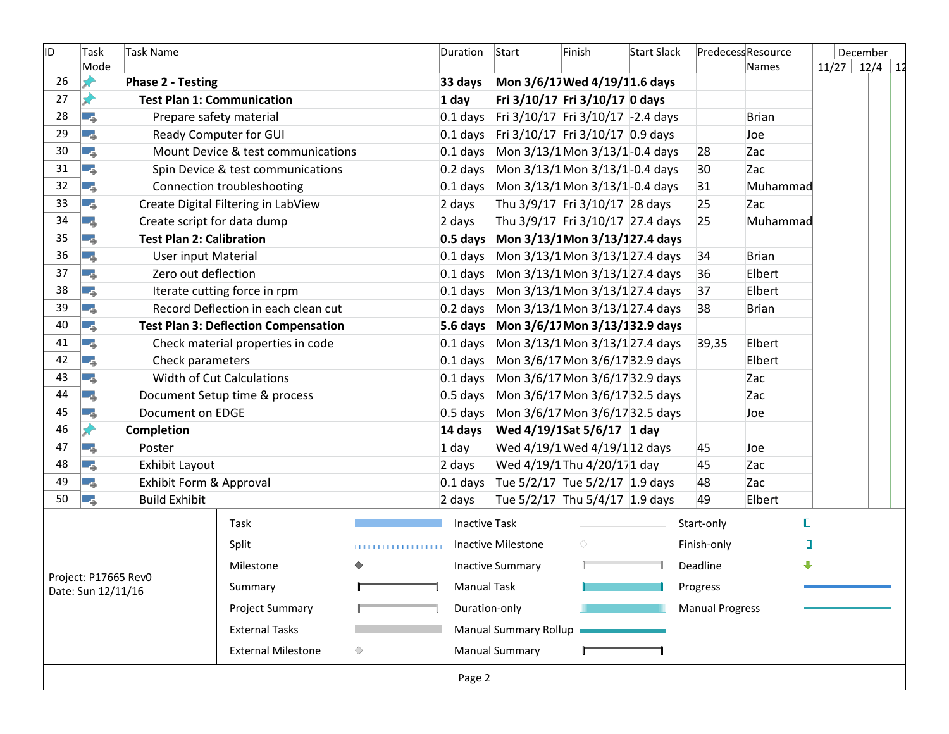| ID. | Task<br>Mode                               | <b>Task Name</b>                  |                                             |   | Duration             | Start                                   | Finish                           | Start Slack |                        | Predecess Resource<br>Names | December<br>$11/27$ 12/4 12 |  |
|-----|--------------------------------------------|-----------------------------------|---------------------------------------------|---|----------------------|-----------------------------------------|----------------------------------|-------------|------------------------|-----------------------------|-----------------------------|--|
| 26  |                                            | <b>Phase 2 - Testing</b>          |                                             |   | 33 days              | Mon 3/6/17 Wed 4/19/11.6 days           |                                  |             |                        |                             |                             |  |
| 27  |                                            | <b>Test Plan 1: Communication</b> |                                             |   | $1$ day              |                                         | Fri 3/10/17 Fri 3/10/17 0 days   |             |                        |                             |                             |  |
| 28  | L.                                         | Prepare safety material           |                                             |   | $0.1$ days           | Fri 3/10/17 Fri 3/10/17 -2.4 days       |                                  |             |                        | <b>Brian</b>                |                             |  |
| 29  | ہے ۔                                       | Ready Computer for GUI            |                                             |   | $0.1$ days           | Fri 3/10/17 Fri 3/10/17 0.9 days        |                                  |             |                        | Joe                         |                             |  |
| 30  | ۳ş                                         |                                   | Mount Device & test communications          |   | $0.1$ days           | Mon 3/13/1 Mon 3/13/1-0.4 days          |                                  |             | 28                     | Zac                         |                             |  |
| 31  | L.                                         |                                   | Spin Device & test communications           |   | $0.2$ days           | Mon 3/13/1 Mon 3/13/1-0.4 days          |                                  |             | 30                     | Zac                         |                             |  |
| 32  | ۳,                                         |                                   | Connection troubleshooting                  |   | $0.1$ days           |                                         | Mon 3/13/1 Mon 3/13/1-0.4 days   |             | 31                     | Muhammad                    |                             |  |
| 33  | ۳,                                         |                                   | Create Digital Filtering in LabView         |   | 2 days               | Thu 3/9/17 Fri 3/10/17 28 days          |                                  |             | 25                     | Zac                         |                             |  |
| 34  | Œ.,                                        | Create script for data dump       |                                             |   | 2 days               |                                         | Thu 3/9/17 Fri 3/10/17 27.4 days |             | 25                     | Muhammad                    |                             |  |
| 35  | ۳.                                         | <b>Test Plan 2: Calibration</b>   |                                             |   |                      | 0.5 days Mon 3/13/1Mon 3/13/127.4 days  |                                  |             |                        |                             |                             |  |
| 36  | L.                                         | <b>User input Material</b>        |                                             |   | $0.1$ days           | Mon 3/13/1 Mon 3/13/127.4 days          |                                  |             | 34                     | <b>Brian</b>                |                             |  |
| 37  | ہے ۔ا                                      | Zero out deflection               |                                             |   | $0.1$ days           | Mon 3/13/1 Mon 3/13/127.4 days          |                                  |             | 36                     | Elbert                      |                             |  |
| 38  | Lς.                                        |                                   | Iterate cutting force in rpm                |   | $0.1$ days           | Mon 3/13/1 Mon 3/13/127.4 days          |                                  |             | 37                     | Elbert                      |                             |  |
| 39  | ۳.                                         |                                   | Record Deflection in each clean cut         |   | $0.2$ days           | Mon 3/13/1 Mon 3/13/127.4 days          |                                  |             | 38                     | <b>Brian</b>                |                             |  |
| 40  | ہے ۔                                       |                                   | <b>Test Plan 3: Deflection Compensation</b> |   |                      | 5.6 days Mon 3/6/17 Mon 3/13/132.9 days |                                  |             |                        |                             |                             |  |
| 41  | Г.                                         |                                   | Check material properties in code           |   | $0.1$ days           | Mon 3/13/1 Mon 3/13/127.4 days          |                                  |             | 39,35                  | Elbert                      |                             |  |
| 42  | L.                                         | Check parameters                  |                                             |   | $0.1$ days           | Mon 3/6/17 Mon 3/6/17 32.9 days         |                                  |             |                        | Elbert                      |                             |  |
| 43  | L.                                         |                                   | <b>Width of Cut Calculations</b>            |   | $0.1$ days           | Mon 3/6/17 Mon 3/6/17 32.9 days         |                                  |             |                        | Zac                         |                             |  |
| 44  | ہے ۔                                       |                                   | Document Setup time & process               |   | $0.5$ days           |                                         | Mon 3/6/17 Mon 3/6/17 32.5 days  |             |                        | Zac                         |                             |  |
| 45  | ۳,                                         | Document on EDGE                  |                                             |   | $0.5$ days           | Mon 3/6/17 Mon 3/6/17 32.5 days         |                                  |             |                        | Joe                         |                             |  |
| 46  | D                                          | <b>Completion</b>                 |                                             |   | 14 days              |                                         | Wed 4/19/1Sat 5/6/17 1 day       |             |                        |                             |                             |  |
| 47  | ۳ş                                         | Poster                            |                                             |   | $1$ day              |                                         | Wed 4/19/1 Wed 4/19/112 days     |             | 45                     | Joe                         |                             |  |
| 48  | ہے ۔                                       | Exhibit Layout                    |                                             |   | 2 days               |                                         | Wed 4/19/1 Thu 4/20/171 day      |             | 45                     | Zac                         |                             |  |
| 49  | ۳,                                         | Exhibit Form & Approval           |                                             |   | $0.1$ days           | Tue 5/2/17 Tue 5/2/17 1.9 days          |                                  |             | 48                     | Zac                         |                             |  |
| 50  | ۳,                                         | <b>Build Exhibit</b>              |                                             |   | 2 days               |                                         | Tue 5/2/17 Thu 5/4/17 1.9 days   |             | 49                     | Elbert                      |                             |  |
|     |                                            |                                   | Task                                        |   | <b>Inactive Task</b> |                                         |                                  |             | Start-only             | E.                          |                             |  |
|     |                                            |                                   | Split                                       | . |                      | <b>Inactive Milestone</b>               | ◇                                |             | Finish-only            | I                           |                             |  |
|     |                                            |                                   | Milestone                                   |   |                      | <b>Inactive Summary</b>                 |                                  |             | Deadline               | ⊕                           |                             |  |
|     | Project: P17665 Rev0<br>Date: Sun 12/11/16 |                                   | Summary                                     |   | <b>Manual Task</b>   |                                         |                                  |             | Progress               |                             |                             |  |
|     |                                            |                                   | <b>Project Summary</b>                      |   | Duration-only        |                                         |                                  |             | <b>Manual Progress</b> |                             |                             |  |
|     |                                            |                                   | <b>External Tasks</b>                       |   |                      | <b>Manual Summary Rollup</b>            |                                  |             |                        |                             |                             |  |
|     |                                            |                                   | <b>External Milestone</b>                   | ♦ |                      | <b>Manual Summary</b>                   |                                  |             |                        |                             |                             |  |
|     |                                            |                                   |                                             |   | Page 2               |                                         |                                  |             |                        |                             |                             |  |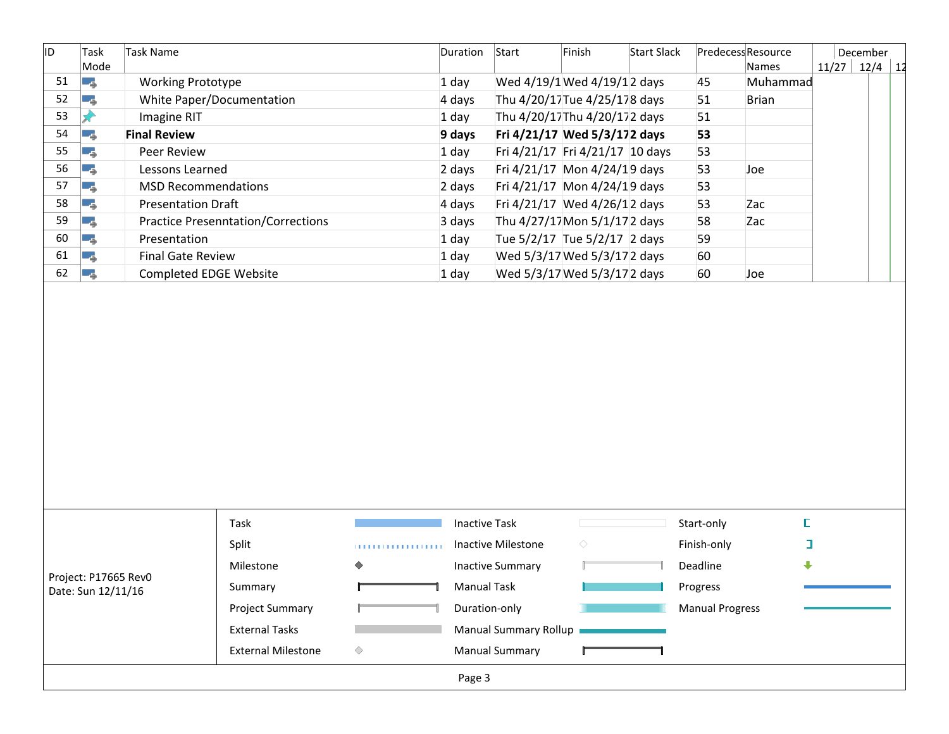| ID. | Task                 | <b>Task Name</b>              |                                                    | Duration<br>Start |                      | Finish<br>Start Slack                                 |                                 | Predecess Resource |                        | December     |  |                 |  |
|-----|----------------------|-------------------------------|----------------------------------------------------|-------------------|----------------------|-------------------------------------------------------|---------------------------------|--------------------|------------------------|--------------|--|-----------------|--|
|     | Mode                 |                               |                                                    |                   |                      |                                                       |                                 |                    |                        | Names        |  | $11/27$ 12/4 12 |  |
| 51  | I.,                  | <b>Working Prototype</b>      |                                                    |                   | 1 day                |                                                       | Wed 4/19/1 Wed 4/19/12 days     |                    | 45                     | Muhammad     |  |                 |  |
| 52  | ang pag              | White Paper/Documentation     |                                                    |                   | 4 days               |                                                       | Thu 4/20/17 Tue 4/25/178 days   |                    | 51                     | <b>Brian</b> |  |                 |  |
| 53  | D                    | <b>Imagine RIT</b>            |                                                    |                   | 1 day                |                                                       | Thu 4/20/17Thu 4/20/172 days    |                    | 51                     |              |  |                 |  |
| 54  | ۳,                   | <b>Final Review</b>           |                                                    |                   | 9 days               |                                                       | Fri 4/21/17 Wed 5/3/172 days    |                    | 53                     |              |  |                 |  |
| 55  | L.                   | Peer Review                   |                                                    |                   | 1 day                |                                                       | Fri 4/21/17 Fri 4/21/17 10 days |                    | 53                     |              |  |                 |  |
| 56  | L.                   | Lessons Learned               |                                                    |                   | 2 days               |                                                       | Fri 4/21/17 Mon 4/24/19 days    |                    | 53                     | Joe          |  |                 |  |
| 57  | ang pag              | <b>MSD Recommendations</b>    |                                                    |                   | 2 days               |                                                       | Fri 4/21/17 Mon 4/24/19 days    |                    | 53                     |              |  |                 |  |
| 58  | ۳,                   | <b>Presentation Draft</b>     |                                                    |                   | 4 days               |                                                       | Fri 4/21/17 Wed 4/26/12 days    |                    | 53                     | Zac          |  |                 |  |
| 59  | ۳ś                   |                               | <b>Practice Presenntation/Corrections</b>          |                   | 3 days               |                                                       | Thu 4/27/17 Mon 5/1/17 2 days   |                    | 58                     | Zac          |  |                 |  |
| 60  | L.                   | Presentation                  |                                                    |                   | 1 day                |                                                       | Tue 5/2/17 Tue 5/2/17 2 days    |                    | 59                     |              |  |                 |  |
| 61  | ang pa               | <b>Final Gate Review</b>      |                                                    |                   | 1 day                |                                                       | Wed 5/3/17 Wed 5/3/17 2 days    |                    | 60                     |              |  |                 |  |
| 62  | المراجع              | <b>Completed EDGE Website</b> |                                                    |                   | 1 day                |                                                       | Wed 5/3/17 Wed 5/3/17 2 days    |                    | 60                     | Joe          |  |                 |  |
|     |                      |                               |                                                    |                   |                      |                                                       |                                 |                    |                        |              |  |                 |  |
|     |                      |                               |                                                    |                   |                      |                                                       |                                 |                    |                        |              |  |                 |  |
|     |                      |                               | Task                                               |                   | <b>Inactive Task</b> |                                                       |                                 |                    | Start-only             | E            |  |                 |  |
|     |                      |                               | Split                                              | .                 |                      | Inactive Milestone                                    | ♦                               |                    | Finish-only            | $\Box$       |  |                 |  |
|     |                      |                               | Milestone                                          |                   |                      | <b>Inactive Summary</b>                               |                                 |                    | Deadline               | ⊕            |  |                 |  |
|     | Project: P17665 Rev0 |                               | Summary                                            |                   | <b>Manual Task</b>   |                                                       |                                 |                    | Progress               |              |  |                 |  |
|     | Date: Sun 12/11/16   |                               |                                                    |                   |                      |                                                       |                                 |                    |                        |              |  |                 |  |
|     |                      |                               | <b>Project Summary</b>                             |                   | Duration-only        |                                                       |                                 |                    | <b>Manual Progress</b> |              |  |                 |  |
|     |                      |                               | <b>External Tasks</b><br><b>External Milestone</b> | ♦                 |                      | <b>Manual Summary Rollup</b><br><b>Manual Summary</b> |                                 |                    |                        |              |  |                 |  |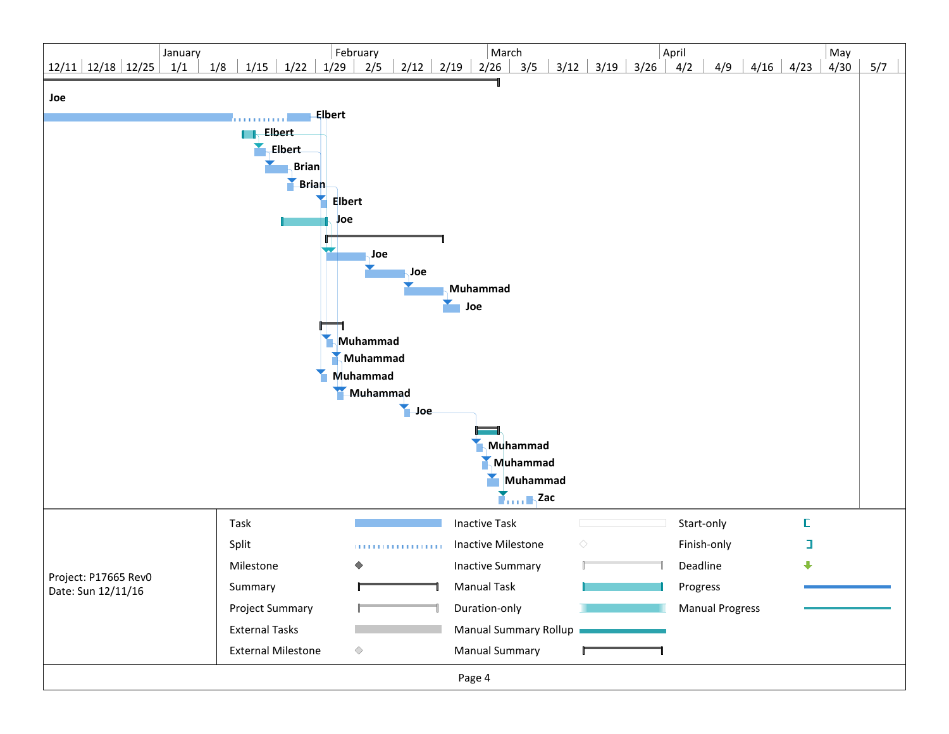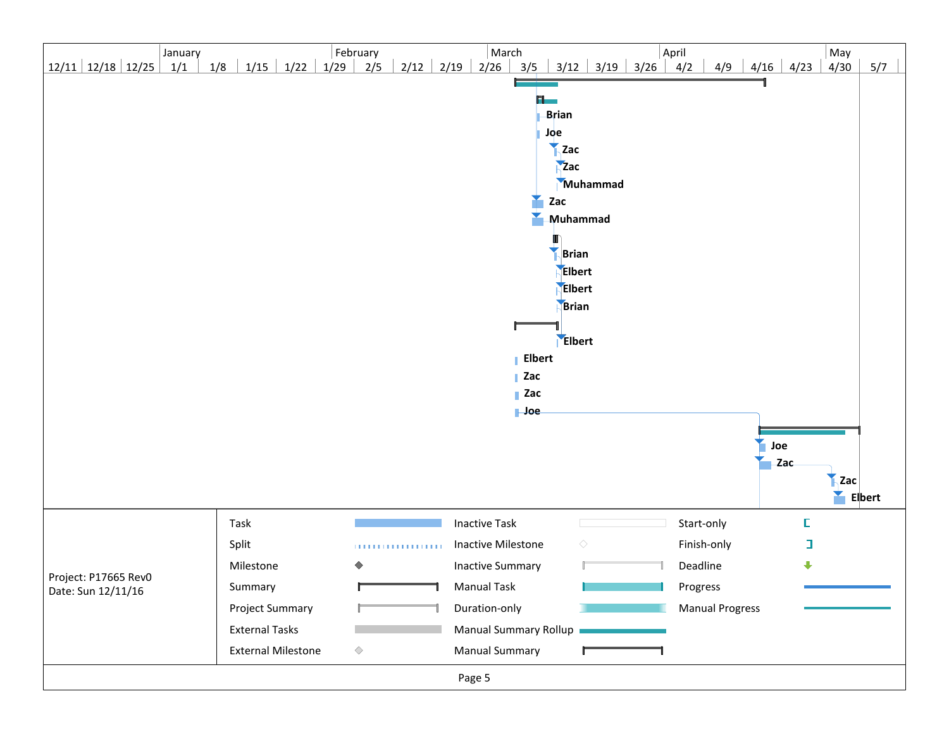